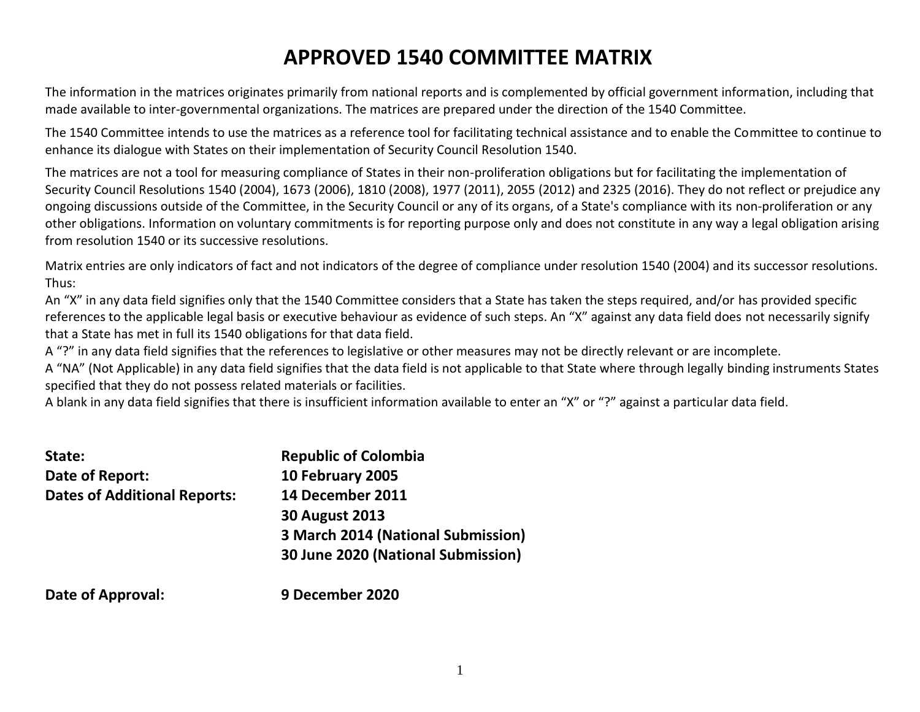# **APPROVED 1540 COMMITTEE MATRIX**

The information in the matrices originates primarily from national reports and is complemented by official government information, including that made available to inter-governmental organizations. The matrices are prepared under the direction of the 1540 Committee.

The 1540 Committee intends to use the matrices as a reference tool for facilitating technical assistance and to enable the Committee to continue to enhance its dialogue with States on their implementation of Security Council Resolution 1540.

The matrices are not a tool for measuring compliance of States in their non-proliferation obligations but for facilitating the implementation of Security Council Resolutions 1540 (2004), 1673 (2006), 1810 (2008), 1977 (2011), 2055 (2012) and 2325 (2016). They do not reflect or prejudice any ongoing discussions outside of the Committee, in the Security Council or any of its organs, of a State's compliance with its non-proliferation or any other obligations. Information on voluntary commitments is for reporting purpose only and does not constitute in any way a legal obligation arising from resolution 1540 or its successive resolutions.

Matrix entries are only indicators of fact and not indicators of the degree of compliance under resolution 1540 (2004) and its successor resolutions. Thus:

An "X" in any data field signifies only that the 1540 Committee considers that a State has taken the steps required, and/or has provided specific references to the applicable legal basis or executive behaviour as evidence of such steps. An "X" against any data field does not necessarily signify that a State has met in full its 1540 obligations for that data field.

A "?" in any data field signifies that the references to legislative or other measures may not be directly relevant or are incomplete.

A "NA" (Not Applicable) in any data field signifies that the data field is not applicable to that State where through legally binding instruments States specified that they do not possess related materials or facilities.

A blank in any data field signifies that there is insufficient information available to enter an "X" or "?" against a particular data field.

| State:                              | <b>Republic of Colombia</b>        |
|-------------------------------------|------------------------------------|
| Date of Report:                     | 10 February 2005                   |
| <b>Dates of Additional Reports:</b> | 14 December 2011                   |
|                                     | <b>30 August 2013</b>              |
|                                     | 3 March 2014 (National Submission) |
|                                     | 30 June 2020 (National Submission) |
| Deta of Ammueical.                  | 0 Desember 2020                    |

#### **Date of Approval: 9 December 2020**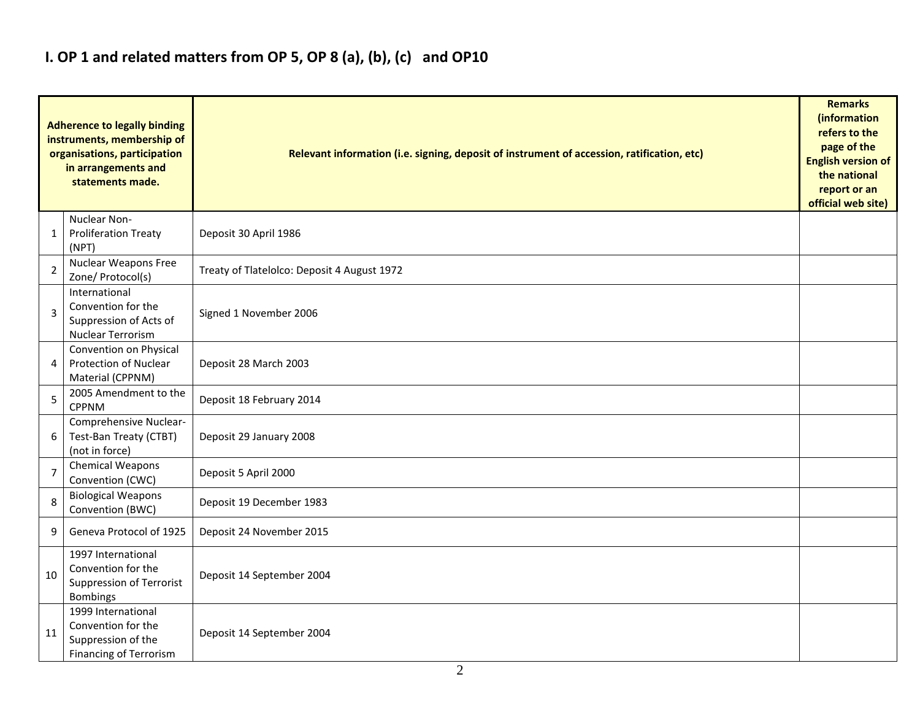## **I. OP 1 and related matters from OP 5, OP 8 (a), (b), (c) and OP10**

|                | <b>Adherence to legally binding</b><br>instruments, membership of<br>organisations, participation<br>in arrangements and<br>statements made. | Relevant information (i.e. signing, deposit of instrument of accession, ratification, etc) |  |  |  |  |  |  |  |  |
|----------------|----------------------------------------------------------------------------------------------------------------------------------------------|--------------------------------------------------------------------------------------------|--|--|--|--|--|--|--|--|
| 1              | Nuclear Non-<br><b>Proliferation Treaty</b><br>(NPT)                                                                                         | Deposit 30 April 1986                                                                      |  |  |  |  |  |  |  |  |
| 2              | <b>Nuclear Weapons Free</b><br>Zone/ Protocol(s)                                                                                             | Treaty of Tlatelolco: Deposit 4 August 1972                                                |  |  |  |  |  |  |  |  |
| 3              | International<br>Convention for the<br>Suppression of Acts of<br>Nuclear Terrorism                                                           | Signed 1 November 2006                                                                     |  |  |  |  |  |  |  |  |
| 4              | Convention on Physical<br><b>Protection of Nuclear</b><br>Material (CPPNM)                                                                   | Deposit 28 March 2003                                                                      |  |  |  |  |  |  |  |  |
| 5              | 2005 Amendment to the<br><b>CPPNM</b>                                                                                                        | Deposit 18 February 2014                                                                   |  |  |  |  |  |  |  |  |
| 6              | Comprehensive Nuclear-<br>Test-Ban Treaty (CTBT)<br>(not in force)                                                                           | Deposit 29 January 2008                                                                    |  |  |  |  |  |  |  |  |
| $\overline{7}$ | Chemical Weapons<br>Convention (CWC)                                                                                                         | Deposit 5 April 2000                                                                       |  |  |  |  |  |  |  |  |
| 8              | <b>Biological Weapons</b><br>Convention (BWC)                                                                                                | Deposit 19 December 1983                                                                   |  |  |  |  |  |  |  |  |
| 9              | Geneva Protocol of 1925                                                                                                                      | Deposit 24 November 2015                                                                   |  |  |  |  |  |  |  |  |
| 10             | 1997 International<br>Convention for the<br>Suppression of Terrorist<br><b>Bombings</b>                                                      | Deposit 14 September 2004                                                                  |  |  |  |  |  |  |  |  |
| 11             | 1999 International<br>Convention for the<br>Suppression of the<br><b>Financing of Terrorism</b>                                              | Deposit 14 September 2004                                                                  |  |  |  |  |  |  |  |  |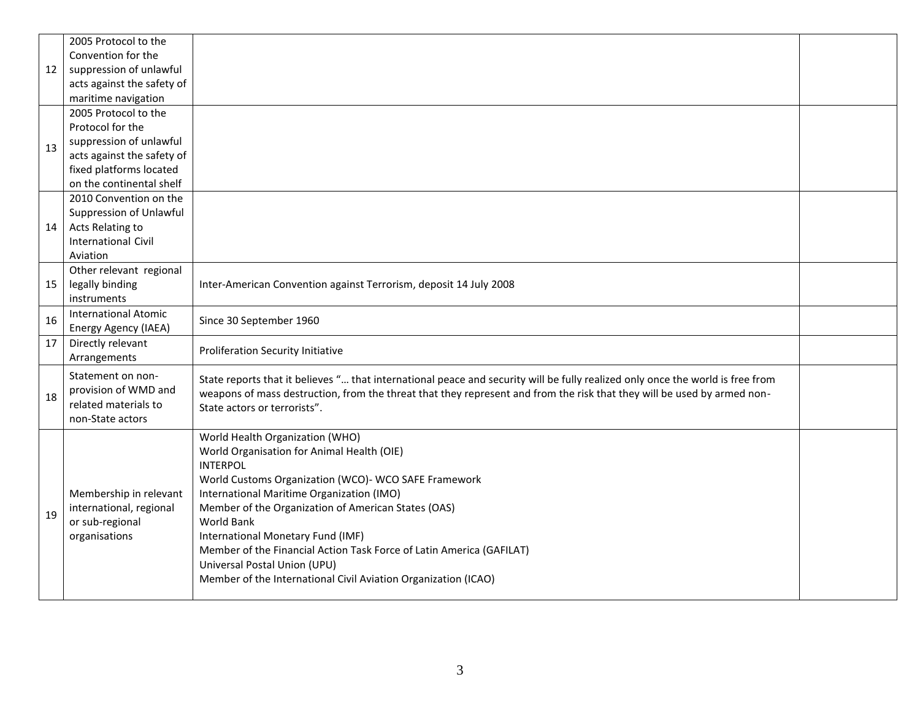|    | 2005 Protocol to the        |                                                                                                                                |  |
|----|-----------------------------|--------------------------------------------------------------------------------------------------------------------------------|--|
|    | Convention for the          |                                                                                                                                |  |
| 12 | suppression of unlawful     |                                                                                                                                |  |
|    | acts against the safety of  |                                                                                                                                |  |
|    | maritime navigation         |                                                                                                                                |  |
|    | 2005 Protocol to the        |                                                                                                                                |  |
|    | Protocol for the            |                                                                                                                                |  |
| 13 | suppression of unlawful     |                                                                                                                                |  |
|    | acts against the safety of  |                                                                                                                                |  |
|    | fixed platforms located     |                                                                                                                                |  |
|    | on the continental shelf    |                                                                                                                                |  |
|    | 2010 Convention on the      |                                                                                                                                |  |
|    | Suppression of Unlawful     |                                                                                                                                |  |
| 14 | Acts Relating to            |                                                                                                                                |  |
|    | <b>International Civil</b>  |                                                                                                                                |  |
|    | Aviation                    |                                                                                                                                |  |
|    | Other relevant regional     |                                                                                                                                |  |
| 15 | legally binding             | Inter-American Convention against Terrorism, deposit 14 July 2008                                                              |  |
|    | instruments                 |                                                                                                                                |  |
| 16 | <b>International Atomic</b> | Since 30 September 1960                                                                                                        |  |
|    | Energy Agency (IAEA)        |                                                                                                                                |  |
| 17 | Directly relevant           | <b>Proliferation Security Initiative</b>                                                                                       |  |
|    | Arrangements                |                                                                                                                                |  |
|    | Statement on non-           | State reports that it believes " that international peace and security will be fully realized only once the world is free from |  |
| 18 | provision of WMD and        | weapons of mass destruction, from the threat that they represent and from the risk that they will be used by armed non-        |  |
|    | related materials to        | State actors or terrorists".                                                                                                   |  |
|    | non-State actors            |                                                                                                                                |  |
|    |                             | World Health Organization (WHO)                                                                                                |  |
|    |                             | World Organisation for Animal Health (OIE)                                                                                     |  |
|    |                             | <b>INTERPOL</b>                                                                                                                |  |
|    |                             | World Customs Organization (WCO)- WCO SAFE Framework                                                                           |  |
|    | Membership in relevant      | International Maritime Organization (IMO)                                                                                      |  |
| 19 | international, regional     | Member of the Organization of American States (OAS)                                                                            |  |
|    | or sub-regional             | <b>World Bank</b>                                                                                                              |  |
|    | organisations               | International Monetary Fund (IMF)                                                                                              |  |
|    |                             | Member of the Financial Action Task Force of Latin America (GAFILAT)                                                           |  |
|    |                             | Universal Postal Union (UPU)                                                                                                   |  |
|    |                             | Member of the International Civil Aviation Organization (ICAO)                                                                 |  |
|    |                             |                                                                                                                                |  |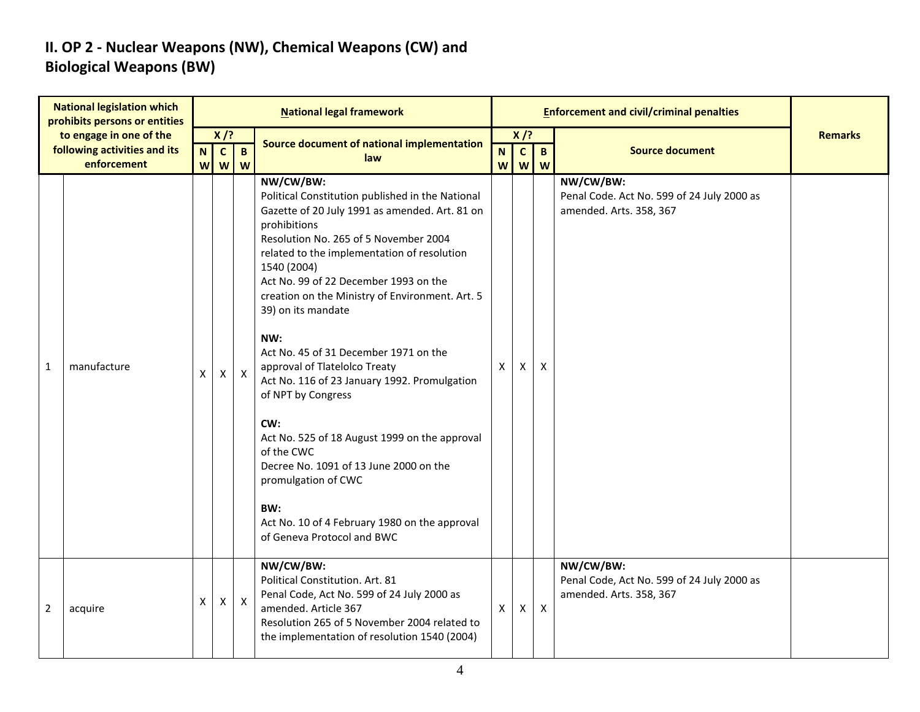### **II. OP 2 - Nuclear Weapons (NW), Chemical Weapons (CW) and Biological Weapons (BW)**

| <b>National legislation which</b><br>prohibits persons or entities     |             | <b>National legal framework</b> |                                                     |                   |                                                                                                                                                                                                                                                                                                                                                                                                                                                                                                                                                                                                                                                                                                                                              |                             |                             |                           |                                                                                    |                |
|------------------------------------------------------------------------|-------------|---------------------------------|-----------------------------------------------------|-------------------|----------------------------------------------------------------------------------------------------------------------------------------------------------------------------------------------------------------------------------------------------------------------------------------------------------------------------------------------------------------------------------------------------------------------------------------------------------------------------------------------------------------------------------------------------------------------------------------------------------------------------------------------------------------------------------------------------------------------------------------------|-----------------------------|-----------------------------|---------------------------|------------------------------------------------------------------------------------|----------------|
| to engage in one of the<br>following activities and its<br>enforcement |             | N<br>W                          | $X$ /?<br>$\mathbf{c}$<br>$\boldsymbol{\mathsf{W}}$ | $\mathbf{B}$<br>W | Source document of national implementation<br>law                                                                                                                                                                                                                                                                                                                                                                                                                                                                                                                                                                                                                                                                                            | $\mathbf N$<br>$\mathsf{W}$ | $X$ /?<br>$\mathbf{c}$<br>W | $\overline{B}$<br>W       | <b>Source document</b>                                                             | <b>Remarks</b> |
| 1                                                                      | manufacture | X                               | $\pmb{\mathsf{X}}$                                  | $\mathsf{X}$      | NW/CW/BW:<br>Political Constitution published in the National<br>Gazette of 20 July 1991 as amended. Art. 81 on<br>prohibitions<br>Resolution No. 265 of 5 November 2004<br>related to the implementation of resolution<br>1540 (2004)<br>Act No. 99 of 22 December 1993 on the<br>creation on the Ministry of Environment. Art. 5<br>39) on its mandate<br>NW:<br>Act No. 45 of 31 December 1971 on the<br>approval of Tlatelolco Treaty<br>Act No. 116 of 23 January 1992. Promulgation<br>of NPT by Congress<br>CW:<br>Act No. 525 of 18 August 1999 on the approval<br>of the CWC<br>Decree No. 1091 of 13 June 2000 on the<br>promulgation of CWC<br>BW:<br>Act No. 10 of 4 February 1980 on the approval<br>of Geneva Protocol and BWC | $\mathsf{X}$                | X                           | $\boldsymbol{\mathsf{X}}$ | NW/CW/BW:<br>Penal Code. Act No. 599 of 24 July 2000 as<br>amended. Arts. 358, 367 |                |
| $\overline{2}$                                                         | acquire     | X                               | $\mathsf{X}$                                        | $\mathsf{X}$      | NW/CW/BW:<br>Political Constitution. Art. 81<br>Penal Code, Act No. 599 of 24 July 2000 as<br>amended. Article 367<br>Resolution 265 of 5 November 2004 related to<br>the implementation of resolution 1540 (2004)                                                                                                                                                                                                                                                                                                                                                                                                                                                                                                                           | $\mathsf{X}$                | X                           | $\boldsymbol{\mathsf{X}}$ | NW/CW/BW:<br>Penal Code, Act No. 599 of 24 July 2000 as<br>amended. Arts. 358, 367 |                |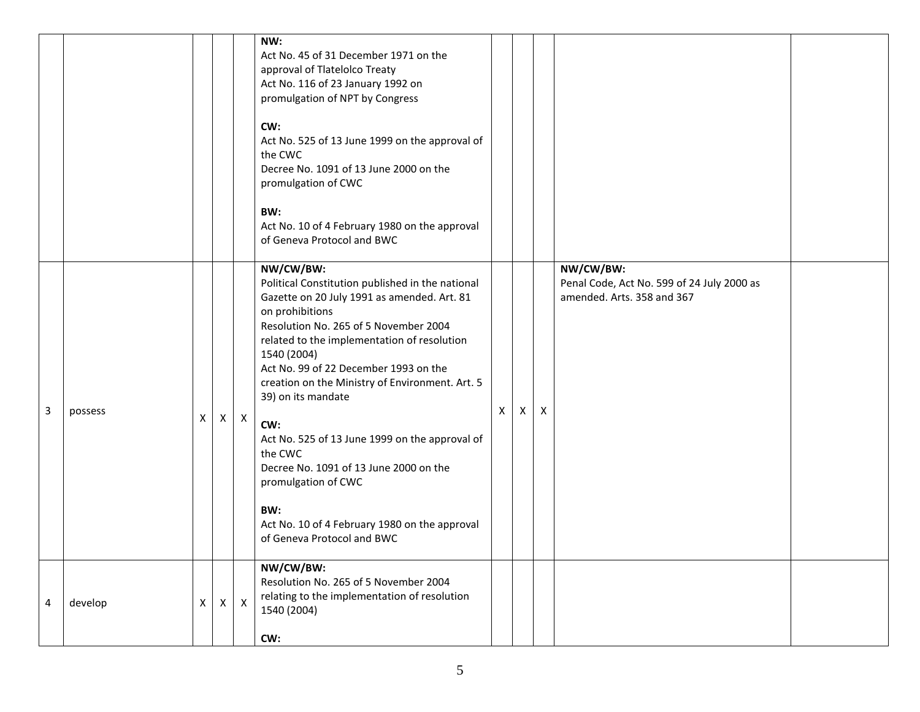|   |         |   |   |              | NW:<br>Act No. 45 of 31 December 1971 on the<br>approval of Tlatelolco Treaty<br>Act No. 116 of 23 January 1992 on<br>promulgation of NPT by Congress<br>CW:<br>Act No. 525 of 13 June 1999 on the approval of<br>the CWC<br>Decree No. 1091 of 13 June 2000 on the<br>promulgation of CWC<br>BW:<br>Act No. 10 of 4 February 1980 on the approval<br>of Geneva Protocol and BWC                                                                                                                                                                                                    |              |   |   |                                                                                       |  |
|---|---------|---|---|--------------|-------------------------------------------------------------------------------------------------------------------------------------------------------------------------------------------------------------------------------------------------------------------------------------------------------------------------------------------------------------------------------------------------------------------------------------------------------------------------------------------------------------------------------------------------------------------------------------|--------------|---|---|---------------------------------------------------------------------------------------|--|
| 3 | possess | X | X | $\mathsf{X}$ | NW/CW/BW:<br>Political Constitution published in the national<br>Gazette on 20 July 1991 as amended. Art. 81<br>on prohibitions<br>Resolution No. 265 of 5 November 2004<br>related to the implementation of resolution<br>1540 (2004)<br>Act No. 99 of 22 December 1993 on the<br>creation on the Ministry of Environment. Art. 5<br>39) on its mandate<br>CW:<br>Act No. 525 of 13 June 1999 on the approval of<br>the CWC<br>Decree No. 1091 of 13 June 2000 on the<br>promulgation of CWC<br>BW:<br>Act No. 10 of 4 February 1980 on the approval<br>of Geneva Protocol and BWC | $\mathsf{X}$ | X | X | NW/CW/BW:<br>Penal Code, Act No. 599 of 24 July 2000 as<br>amended. Arts. 358 and 367 |  |
| 4 | develop | X | X | $\mathsf{X}$ | NW/CW/BW:<br>Resolution No. 265 of 5 November 2004<br>relating to the implementation of resolution<br>1540 (2004)<br>CW:                                                                                                                                                                                                                                                                                                                                                                                                                                                            |              |   |   |                                                                                       |  |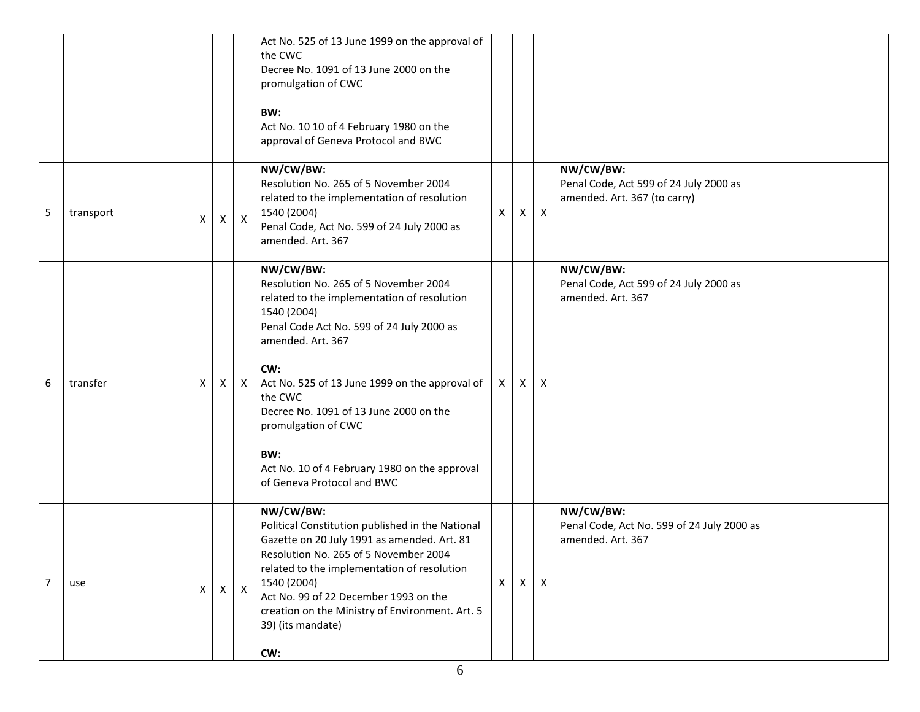|                |           |   |              |              | Act No. 525 of 13 June 1999 on the approval of<br>the CWC<br>Decree No. 1091 of 13 June 2000 on the<br>promulgation of CWC<br>BW:<br>Act No. 10 10 of 4 February 1980 on the<br>approval of Geneva Protocol and BWC                                                                                                                                                                                           |    |   |              |                                                                                     |
|----------------|-----------|---|--------------|--------------|---------------------------------------------------------------------------------------------------------------------------------------------------------------------------------------------------------------------------------------------------------------------------------------------------------------------------------------------------------------------------------------------------------------|----|---|--------------|-------------------------------------------------------------------------------------|
| 5              | transport | X | X            | $\mathsf{X}$ | NW/CW/BW:<br>Resolution No. 265 of 5 November 2004<br>related to the implementation of resolution<br>1540 (2004)<br>Penal Code, Act No. 599 of 24 July 2000 as<br>amended. Art. 367                                                                                                                                                                                                                           | X  | X | $\mathsf{X}$ | NW/CW/BW:<br>Penal Code, Act 599 of 24 July 2000 as<br>amended. Art. 367 (to carry) |
| 6              | transfer  | X | X            | $\mathsf{X}$ | NW/CW/BW:<br>Resolution No. 265 of 5 November 2004<br>related to the implementation of resolution<br>1540 (2004)<br>Penal Code Act No. 599 of 24 July 2000 as<br>amended. Art. 367<br>CW:<br>Act No. 525 of 13 June 1999 on the approval of<br>the CWC<br>Decree No. 1091 of 13 June 2000 on the<br>promulgation of CWC<br>BW:<br>Act No. 10 of 4 February 1980 on the approval<br>of Geneva Protocol and BWC | X. | X | X            | NW/CW/BW:<br>Penal Code, Act 599 of 24 July 2000 as<br>amended. Art. 367            |
| $\overline{7}$ | use       | X | $\mathsf{X}$ | $\mathsf{X}$ | NW/CW/BW:<br>Political Constitution published in the National<br>Gazette on 20 July 1991 as amended. Art. 81<br>Resolution No. 265 of 5 November 2004<br>related to the implementation of resolution<br>1540 (2004)<br>Act No. 99 of 22 December 1993 on the<br>creation on the Ministry of Environment. Art. 5<br>39) (its mandate)<br>CW:                                                                   | X  | X | $\mathsf{X}$ | NW/CW/BW:<br>Penal Code, Act No. 599 of 24 July 2000 as<br>amended. Art. 367        |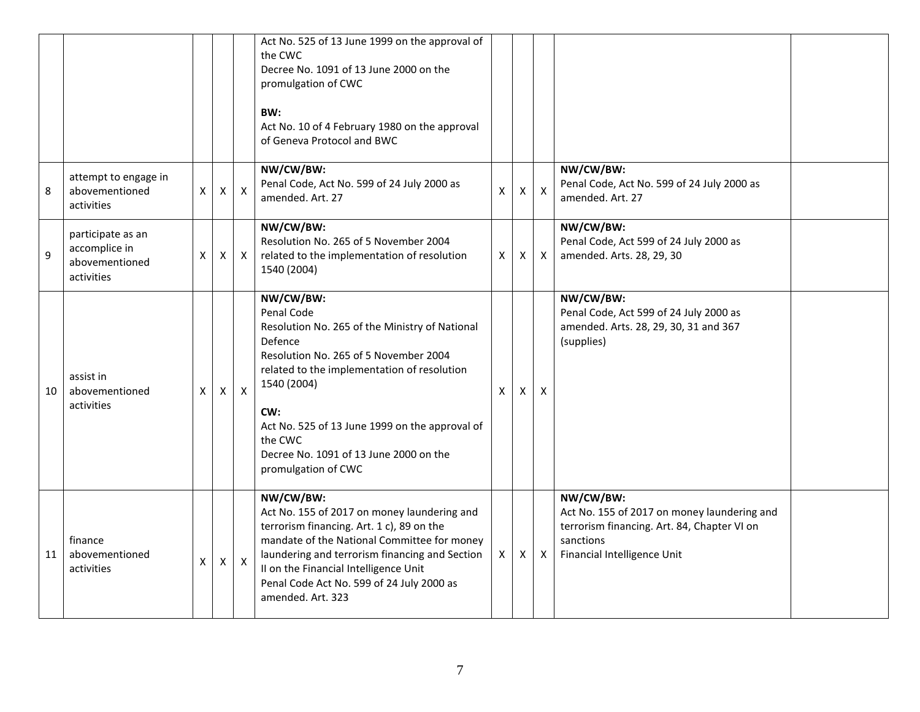|    |                                                                    |                    |                    |                  | Act No. 525 of 13 June 1999 on the approval of<br>the CWC<br>Decree No. 1091 of 13 June 2000 on the<br>promulgation of CWC<br>BW:<br>Act No. 10 of 4 February 1980 on the approval<br>of Geneva Protocol and BWC                                                                                                                 |                           |          |                           |                                                                                                                                                     |  |
|----|--------------------------------------------------------------------|--------------------|--------------------|------------------|----------------------------------------------------------------------------------------------------------------------------------------------------------------------------------------------------------------------------------------------------------------------------------------------------------------------------------|---------------------------|----------|---------------------------|-----------------------------------------------------------------------------------------------------------------------------------------------------|--|
| 8  | attempt to engage in<br>abovementioned<br>activities               | $\pmb{\times}$     | $\pmb{\times}$     | $\boldsymbol{X}$ | NW/CW/BW:<br>Penal Code, Act No. 599 of 24 July 2000 as<br>amended. Art. 27                                                                                                                                                                                                                                                      | $\boldsymbol{\mathsf{x}}$ | X        | $\boldsymbol{\mathsf{X}}$ | NW/CW/BW:<br>Penal Code, Act No. 599 of 24 July 2000 as<br>amended. Art. 27                                                                         |  |
| 9  | participate as an<br>accomplice in<br>abovementioned<br>activities | $\pmb{\mathsf{X}}$ | $\pmb{\mathsf{X}}$ | $\mathsf{X}$     | NW/CW/BW:<br>Resolution No. 265 of 5 November 2004<br>related to the implementation of resolution<br>1540 (2004)                                                                                                                                                                                                                 | $\mathsf{X}$              | X        | $\mathsf{X}$              | NW/CW/BW:<br>Penal Code, Act 599 of 24 July 2000 as<br>amended. Arts. 28, 29, 30                                                                    |  |
| 10 | assist in<br>abovementioned<br>activities                          | X                  | $\mathsf{X}$       | $\mathsf{X}$     | NW/CW/BW:<br>Penal Code<br>Resolution No. 265 of the Ministry of National<br>Defence<br>Resolution No. 265 of 5 November 2004<br>related to the implementation of resolution<br>1540 (2004)<br>CW:<br>Act No. 525 of 13 June 1999 on the approval of<br>the CWC<br>Decree No. 1091 of 13 June 2000 on the<br>promulgation of CWC | $\mathsf{x}$              | X        | X                         | NW/CW/BW:<br>Penal Code, Act 599 of 24 July 2000 as<br>amended. Arts. 28, 29, 30, 31 and 367<br>(supplies)                                          |  |
| 11 | finance<br>abovementioned<br>activities                            | X                  | $\mathsf{X}$       | $\mathsf{X}$     | NW/CW/BW:<br>Act No. 155 of 2017 on money laundering and<br>terrorism financing. Art. 1 c), 89 on the<br>mandate of the National Committee for money<br>laundering and terrorism financing and Section<br>II on the Financial Intelligence Unit<br>Penal Code Act No. 599 of 24 July 2000 as<br>amended. Art. 323                | $\times$                  | $\times$ | $\mathsf{X}$              | NW/CW/BW:<br>Act No. 155 of 2017 on money laundering and<br>terrorism financing. Art. 84, Chapter VI on<br>sanctions<br>Financial Intelligence Unit |  |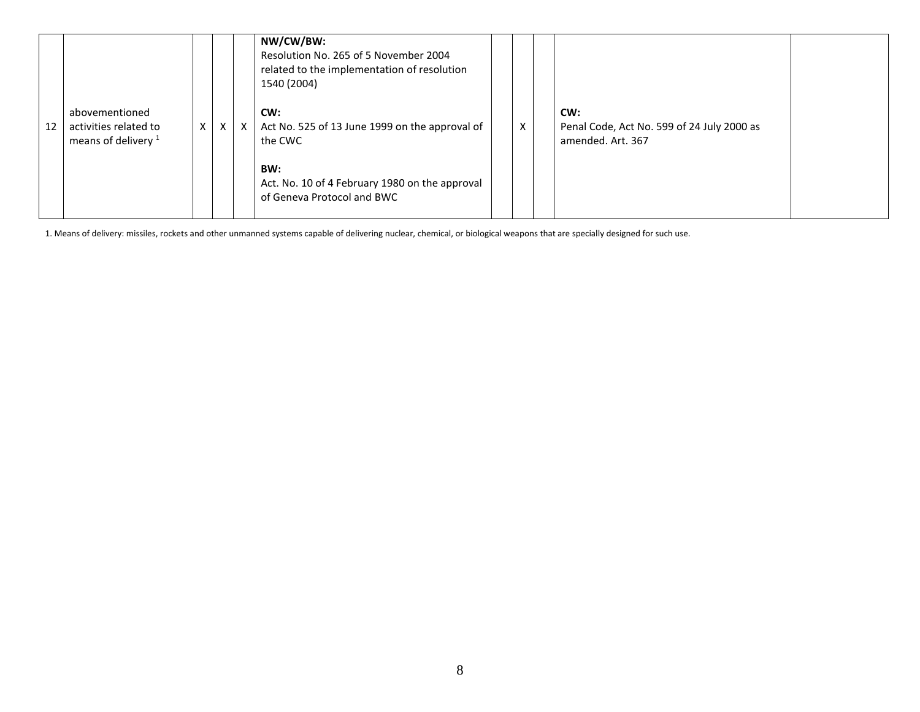|    |                                                                           |   |              |            | NW/CW/BW:<br>Resolution No. 265 of 5 November 2004<br>related to the implementation of resolution<br>1540 (2004)          |   |                                                                        |  |
|----|---------------------------------------------------------------------------|---|--------------|------------|---------------------------------------------------------------------------------------------------------------------------|---|------------------------------------------------------------------------|--|
| 12 | abovementioned<br>activities related to<br>means of delivery <sup>1</sup> | X | $\mathsf{X}$ | $\times$ 1 | CW:<br>Act No. 525 of 13 June 1999 on the approval of<br>the CWC<br>BW:<br>Act. No. 10 of 4 February 1980 on the approval | X | CW:<br>Penal Code, Act No. 599 of 24 July 2000 as<br>amended. Art. 367 |  |
|    |                                                                           |   |              |            | of Geneva Protocol and BWC                                                                                                |   |                                                                        |  |

1. Means of delivery: missiles, rockets and other unmanned systems capable of delivering nuclear, chemical, or biological weapons that are specially designed for such use.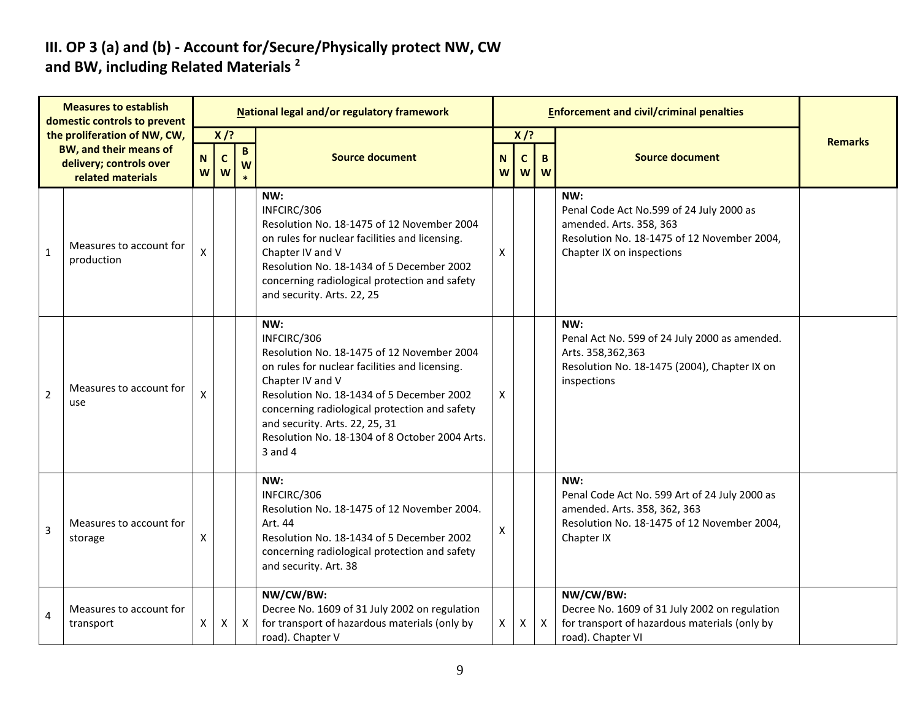#### **III. OP 3 (a) and (b) - Account for/Secure/Physically protect NW, CW and BW, including Related Materials <sup>2</sup>**

|                | <b>Measures to establish</b><br>domestic controls to prevent                             |                  |                            |                   | National legal and/or regulatory framework                                                                                                                                                                                                                                                                                          |        |                             |                  | <b>Enforcement and civil/criminal penalties</b>                                                                                                        |                |
|----------------|------------------------------------------------------------------------------------------|------------------|----------------------------|-------------------|-------------------------------------------------------------------------------------------------------------------------------------------------------------------------------------------------------------------------------------------------------------------------------------------------------------------------------------|--------|-----------------------------|------------------|--------------------------------------------------------------------------------------------------------------------------------------------------------|----------------|
|                | the proliferation of NW, CW,<br><b>BW, and their means of</b><br>delivery; controls over | $\mathbf N$<br>W | $X$ /?<br>$\mathbf c$<br>W | $\mathbf{B}$<br>W | <b>Source document</b>                                                                                                                                                                                                                                                                                                              | N<br>W | $X$ /?<br>$\mathsf{C}$<br>W | $\mathbf B$<br>W | <b>Source document</b>                                                                                                                                 | <b>Remarks</b> |
| $\mathbf 1$    | related materials<br>Measures to account for<br>production                               | X                |                            |                   | NW:<br>INFCIRC/306<br>Resolution No. 18-1475 of 12 November 2004<br>on rules for nuclear facilities and licensing.<br>Chapter IV and V<br>Resolution No. 18-1434 of 5 December 2002<br>concerning radiological protection and safety<br>and security. Arts. 22, 25                                                                  | Χ      |                             |                  | NW:<br>Penal Code Act No.599 of 24 July 2000 as<br>amended. Arts. 358, 363<br>Resolution No. 18-1475 of 12 November 2004,<br>Chapter IX on inspections |                |
| $\overline{2}$ | Measures to account for<br>use                                                           | X                |                            |                   | NW:<br>INFCIRC/306<br>Resolution No. 18-1475 of 12 November 2004<br>on rules for nuclear facilities and licensing.<br>Chapter IV and V<br>Resolution No. 18-1434 of 5 December 2002<br>concerning radiological protection and safety<br>and security. Arts. 22, 25, 31<br>Resolution No. 18-1304 of 8 October 2004 Arts.<br>3 and 4 | X      |                             |                  | NW:<br>Penal Act No. 599 of 24 July 2000 as amended.<br>Arts. 358,362,363<br>Resolution No. 18-1475 (2004), Chapter IX on<br>inspections               |                |
| 3              | Measures to account for<br>storage                                                       | Χ                |                            |                   | NW:<br>INFCIRC/306<br>Resolution No. 18-1475 of 12 November 2004.<br>Art. 44<br>Resolution No. 18-1434 of 5 December 2002<br>concerning radiological protection and safety<br>and security. Art. 38                                                                                                                                 | X      |                             |                  | NW:<br>Penal Code Act No. 599 Art of 24 July 2000 as<br>amended. Arts. 358, 362, 363<br>Resolution No. 18-1475 of 12 November 2004,<br>Chapter IX      |                |
| $\overline{4}$ | Measures to account for<br>transport                                                     | X                | X                          | $\mathsf{X}$      | NW/CW/BW:<br>Decree No. 1609 of 31 July 2002 on regulation<br>for transport of hazardous materials (only by<br>road). Chapter V                                                                                                                                                                                                     | X      | X                           | $\mathsf{X}$     | NW/CW/BW:<br>Decree No. 1609 of 31 July 2002 on regulation<br>for transport of hazardous materials (only by<br>road). Chapter VI                       |                |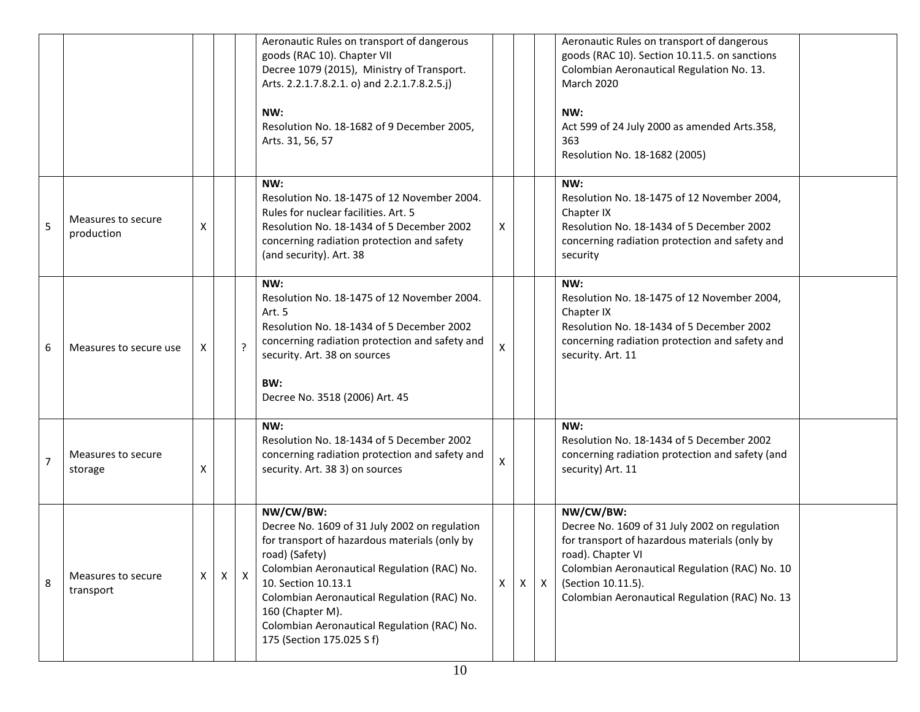|                |                                  |              |   |   | Aeronautic Rules on transport of dangerous<br>goods (RAC 10). Chapter VII<br>Decree 1079 (2015), Ministry of Transport.<br>Arts. 2.2.1.7.8.2.1. o) and 2.2.1.7.8.2.5.j)<br>NW:<br>Resolution No. 18-1682 of 9 December 2005,<br>Arts. 31, 56, 57                                                                                                   |              |              |              | Aeronautic Rules on transport of dangerous<br>goods (RAC 10). Section 10.11.5. on sanctions<br>Colombian Aeronautical Regulation No. 13.<br><b>March 2020</b><br>NW:<br>Act 599 of 24 July 2000 as amended Arts.358,<br>363<br>Resolution No. 18-1682 (2005) |  |
|----------------|----------------------------------|--------------|---|---|----------------------------------------------------------------------------------------------------------------------------------------------------------------------------------------------------------------------------------------------------------------------------------------------------------------------------------------------------|--------------|--------------|--------------|--------------------------------------------------------------------------------------------------------------------------------------------------------------------------------------------------------------------------------------------------------------|--|
| 5              | Measures to secure<br>production | X            |   |   | NW:<br>Resolution No. 18-1475 of 12 November 2004.<br>Rules for nuclear facilities. Art. 5<br>Resolution No. 18-1434 of 5 December 2002<br>concerning radiation protection and safety<br>(and security). Art. 38                                                                                                                                   | X            |              |              | NW:<br>Resolution No. 18-1475 of 12 November 2004,<br>Chapter IX<br>Resolution No. 18-1434 of 5 December 2002<br>concerning radiation protection and safety and<br>security                                                                                  |  |
| 6              | Measures to secure use           | X            |   |   | NW:<br>Resolution No. 18-1475 of 12 November 2004.<br>Art. 5<br>Resolution No. 18-1434 of 5 December 2002<br>concerning radiation protection and safety and<br>security. Art. 38 on sources<br>BW:<br>Decree No. 3518 (2006) Art. 45                                                                                                               | $\mathsf{X}$ |              |              | NW:<br>Resolution No. 18-1475 of 12 November 2004,<br>Chapter IX<br>Resolution No. 18-1434 of 5 December 2002<br>concerning radiation protection and safety and<br>security. Art. 11                                                                         |  |
| $\overline{7}$ | Measures to secure<br>storage    | Χ            |   |   | NW:<br>Resolution No. 18-1434 of 5 December 2002<br>concerning radiation protection and safety and<br>security. Art. 38 3) on sources                                                                                                                                                                                                              | X            |              |              | NW:<br>Resolution No. 18-1434 of 5 December 2002<br>concerning radiation protection and safety (and<br>security) Art. 11                                                                                                                                     |  |
| 8              | Measures to secure<br>transport  | $\mathsf{X}$ | Χ | X | NW/CW/BW:<br>Decree No. 1609 of 31 July 2002 on regulation<br>for transport of hazardous materials (only by<br>road) (Safety)<br>Colombian Aeronautical Regulation (RAC) No.<br>10. Section 10.13.1<br>Colombian Aeronautical Regulation (RAC) No.<br>160 (Chapter M).<br>Colombian Aeronautical Regulation (RAC) No.<br>175 (Section 175.025 S f) | $\mathsf{X}$ | $\mathsf{X}$ | $\mathsf{X}$ | NW/CW/BW:<br>Decree No. 1609 of 31 July 2002 on regulation<br>for transport of hazardous materials (only by<br>road). Chapter VI<br>Colombian Aeronautical Regulation (RAC) No. 10<br>(Section 10.11.5).<br>Colombian Aeronautical Regulation (RAC) No. 13   |  |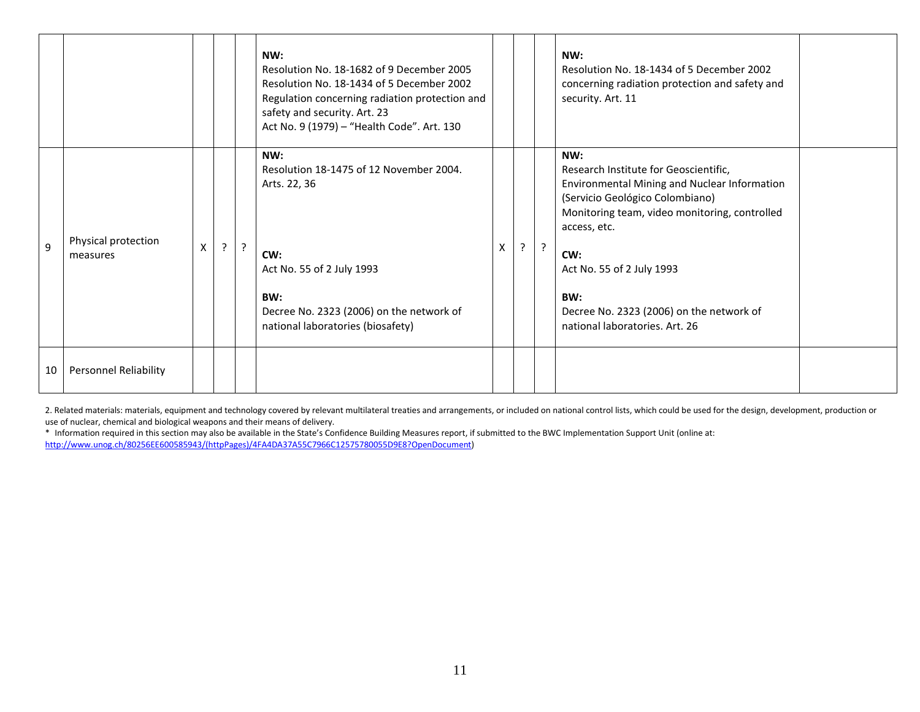|    |                                 |   |             |           | NW:<br>Resolution No. 18-1682 of 9 December 2005<br>Resolution No. 18-1434 of 5 December 2002<br>Regulation concerning radiation protection and<br>safety and security. Art. 23<br>Act No. 9 (1979) - "Health Code". Art. 130 |   |         |   | NW:<br>Resolution No. 18-1434 of 5 December 2002<br>concerning radiation protection and safety and<br>security. Art. 11                                                                                                                                                                                                   |  |
|----|---------------------------------|---|-------------|-----------|-------------------------------------------------------------------------------------------------------------------------------------------------------------------------------------------------------------------------------|---|---------|---|---------------------------------------------------------------------------------------------------------------------------------------------------------------------------------------------------------------------------------------------------------------------------------------------------------------------------|--|
| 9  | Physical protection<br>measures | Χ | $\tilde{f}$ | $\cdot$ ? | NW:<br>Resolution 18-1475 of 12 November 2004.<br>Arts. 22, 36<br>CW:<br>Act No. 55 of 2 July 1993<br>BW:<br>Decree No. 2323 (2006) on the network of<br>national laboratories (biosafety)                                    | X | $\cdot$ | ? | NW:<br>Research Institute for Geoscientific,<br>Environmental Mining and Nuclear Information<br>(Servicio Geológico Colombiano)<br>Monitoring team, video monitoring, controlled<br>access, etc.<br>CW:<br>Act No. 55 of 2 July 1993<br>BW:<br>Decree No. 2323 (2006) on the network of<br>national laboratories. Art. 26 |  |
| 10 | <b>Personnel Reliability</b>    |   |             |           |                                                                                                                                                                                                                               |   |         |   |                                                                                                                                                                                                                                                                                                                           |  |

2. Related materials: materials, equipment and technology covered by relevant multilateral treaties and arrangements, or included on national control lists, which could be used for the design, development, production or use of nuclear, chemical and biological weapons and their means of delivery.

\* Information required in this section may also be available in the State's Confidence Building Measures report, if submitted to the BWC Implementation Support Unit (online at: [http://www.unog.ch/80256EE600585943/\(httpPages\)/4FA4DA37A55C7966C12575780055D9E8?OpenDocument\)](http://www.unog.ch/80256EE600585943/(httpPages)/4FA4DA37A55C7966C12575780055D9E8?OpenDocument)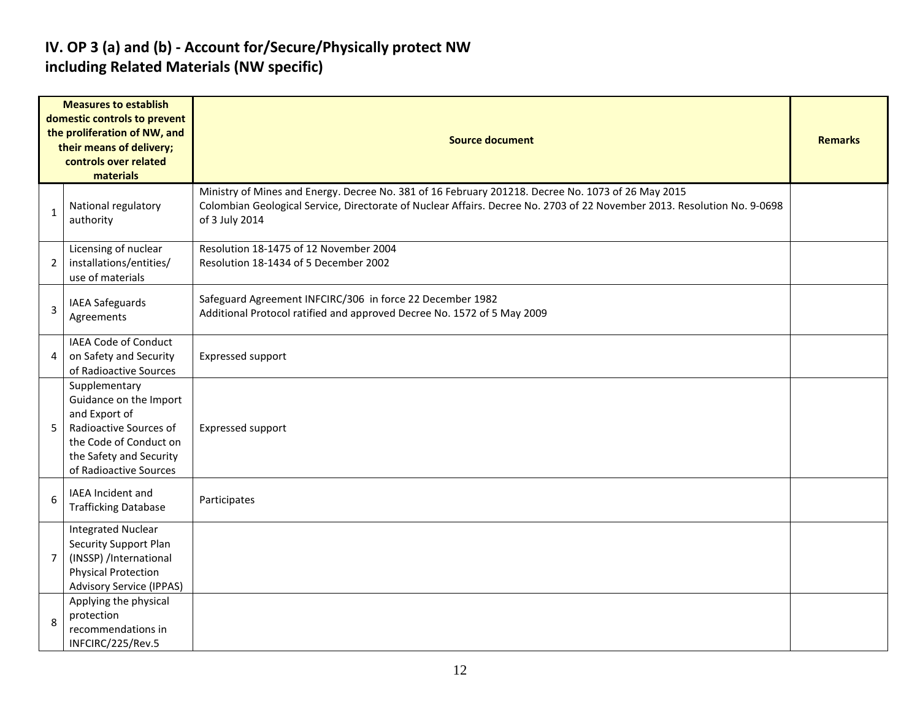#### **IV. OP 3 (a) and (b) - Account for/Secure/Physically protect NW including Related Materials (NW specific)**

|   | <b>Measures to establish</b><br>domestic controls to prevent<br>the proliferation of NW, and<br>their means of delivery;<br>controls over related<br>materials    | <b>Source document</b>                                                                                                                                                                                                                           |  |  |  |  |  |  |
|---|-------------------------------------------------------------------------------------------------------------------------------------------------------------------|--------------------------------------------------------------------------------------------------------------------------------------------------------------------------------------------------------------------------------------------------|--|--|--|--|--|--|
| 1 | National regulatory<br>authority                                                                                                                                  | Ministry of Mines and Energy. Decree No. 381 of 16 February 201218. Decree No. 1073 of 26 May 2015<br>Colombian Geological Service, Directorate of Nuclear Affairs. Decree No. 2703 of 22 November 2013. Resolution No. 9-0698<br>of 3 July 2014 |  |  |  |  |  |  |
| 2 | Licensing of nuclear<br>installations/entities/<br>use of materials                                                                                               | Resolution 18-1475 of 12 November 2004<br>Resolution 18-1434 of 5 December 2002                                                                                                                                                                  |  |  |  |  |  |  |
| 3 | IAEA Safeguards<br>Agreements                                                                                                                                     | Safeguard Agreement INFCIRC/306 in force 22 December 1982<br>Additional Protocol ratified and approved Decree No. 1572 of 5 May 2009                                                                                                             |  |  |  |  |  |  |
| 4 | IAEA Code of Conduct<br>on Safety and Security<br>of Radioactive Sources                                                                                          | <b>Expressed support</b>                                                                                                                                                                                                                         |  |  |  |  |  |  |
| 5 | Supplementary<br>Guidance on the Import<br>and Export of<br>Radioactive Sources of<br>the Code of Conduct on<br>the Safety and Security<br>of Radioactive Sources | Expressed support                                                                                                                                                                                                                                |  |  |  |  |  |  |
| 6 | <b>IAEA Incident and</b><br><b>Trafficking Database</b>                                                                                                           | Participates                                                                                                                                                                                                                                     |  |  |  |  |  |  |
| 7 | <b>Integrated Nuclear</b><br><b>Security Support Plan</b><br>(INSSP) /International<br><b>Physical Protection</b><br><b>Advisory Service (IPPAS)</b>              |                                                                                                                                                                                                                                                  |  |  |  |  |  |  |
| 8 | Applying the physical<br>protection<br>recommendations in<br>INFCIRC/225/Rev.5                                                                                    |                                                                                                                                                                                                                                                  |  |  |  |  |  |  |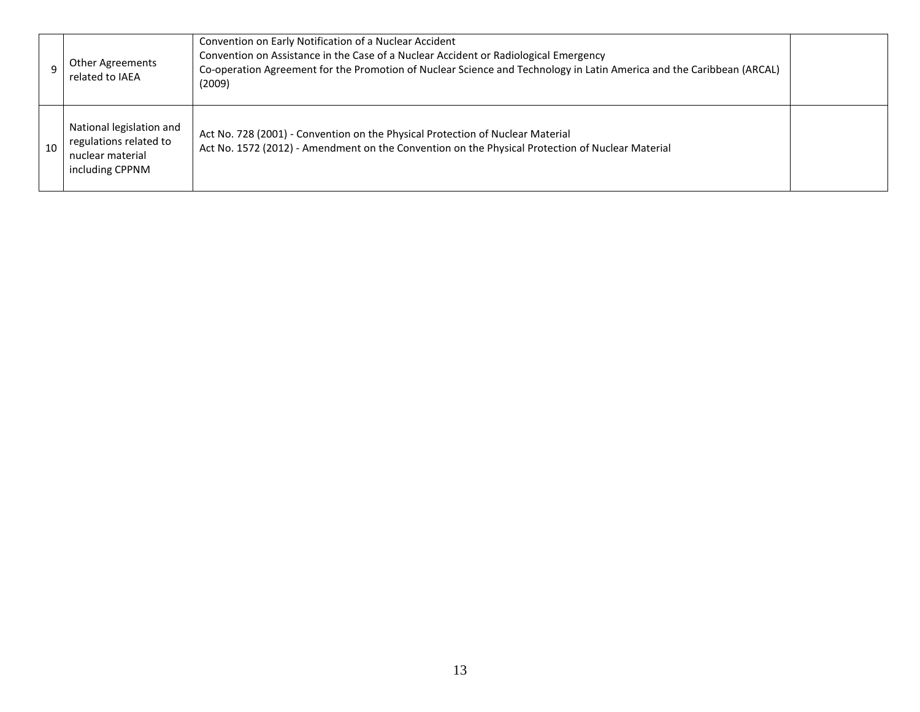|    | <b>Other Agreements</b><br>related to IAEA                                                | Convention on Early Notification of a Nuclear Accident<br>Convention on Assistance in the Case of a Nuclear Accident or Radiological Emergency<br>Co-operation Agreement for the Promotion of Nuclear Science and Technology in Latin America and the Caribbean (ARCAL)<br>(2009) |  |
|----|-------------------------------------------------------------------------------------------|-----------------------------------------------------------------------------------------------------------------------------------------------------------------------------------------------------------------------------------------------------------------------------------|--|
| 10 | National legislation and<br>regulations related to<br>nuclear material<br>including CPPNM | Act No. 728 (2001) - Convention on the Physical Protection of Nuclear Material<br>Act No. 1572 (2012) - Amendment on the Convention on the Physical Protection of Nuclear Material                                                                                                |  |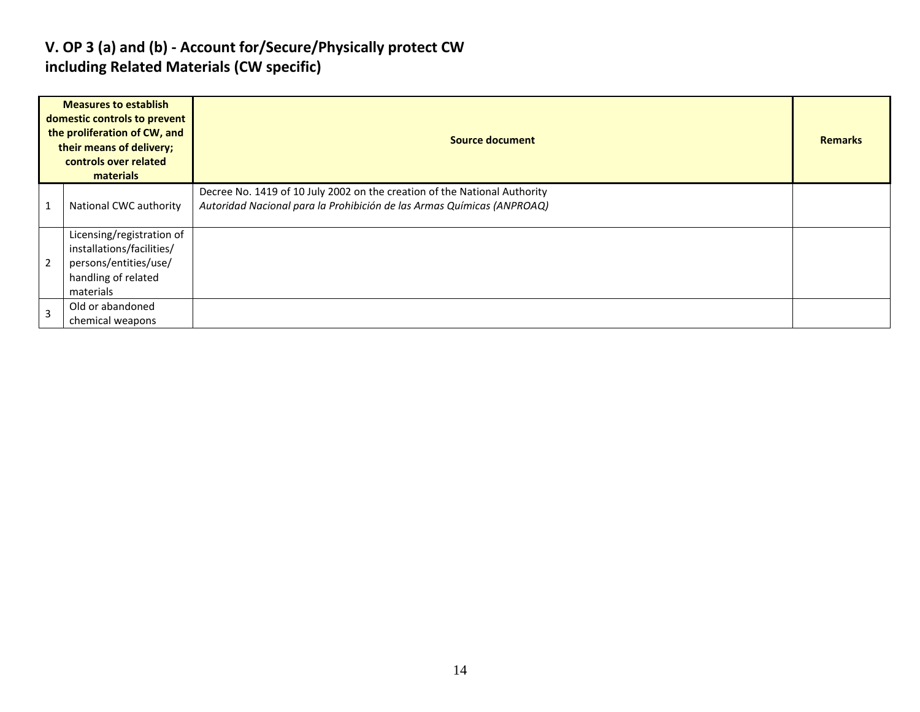#### **V. OP 3 (a) and (b) - Account for/Secure/Physically protect CW including Related Materials (CW specific)**

| <b>Measures to establish</b><br>domestic controls to prevent<br>the proliferation of CW, and<br>their means of delivery;<br>controls over related<br>materials |                                                                                                                     | Source document                                                                                                                                     |  |  |  |
|----------------------------------------------------------------------------------------------------------------------------------------------------------------|---------------------------------------------------------------------------------------------------------------------|-----------------------------------------------------------------------------------------------------------------------------------------------------|--|--|--|
|                                                                                                                                                                | National CWC authority                                                                                              | Decree No. 1419 of 10 July 2002 on the creation of the National Authority<br>Autoridad Nacional para la Prohibición de las Armas Químicas (ANPROAQ) |  |  |  |
| $\overline{2}$                                                                                                                                                 | Licensing/registration of<br>installations/facilities/<br>persons/entities/use/<br>handling of related<br>materials |                                                                                                                                                     |  |  |  |
| $\overline{3}$                                                                                                                                                 | Old or abandoned<br>chemical weapons                                                                                |                                                                                                                                                     |  |  |  |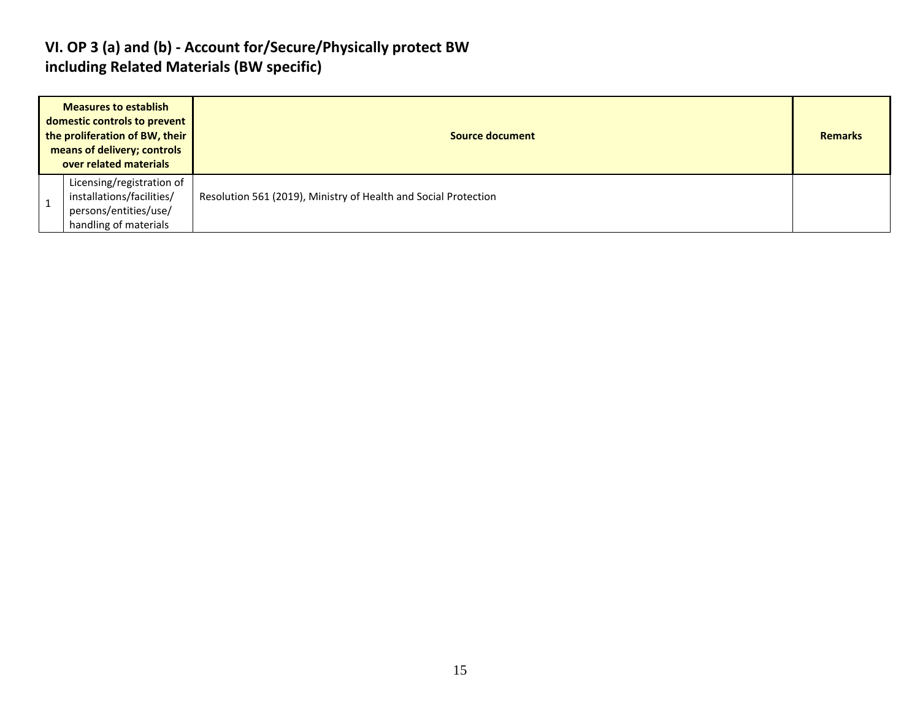#### **VI. OP 3 (a) and (b) - Account for/Secure/Physically protect BW including Related Materials (BW specific)**

| <b>Measures to establish</b><br>domestic controls to prevent<br>the proliferation of BW, their<br>means of delivery; controls<br>over related materials |                                                                                                          | <b>Source document</b>                                          |  |
|---------------------------------------------------------------------------------------------------------------------------------------------------------|----------------------------------------------------------------------------------------------------------|-----------------------------------------------------------------|--|
|                                                                                                                                                         | Licensing/registration of<br>installations/facilities/<br>persons/entities/use/<br>handling of materials | Resolution 561 (2019), Ministry of Health and Social Protection |  |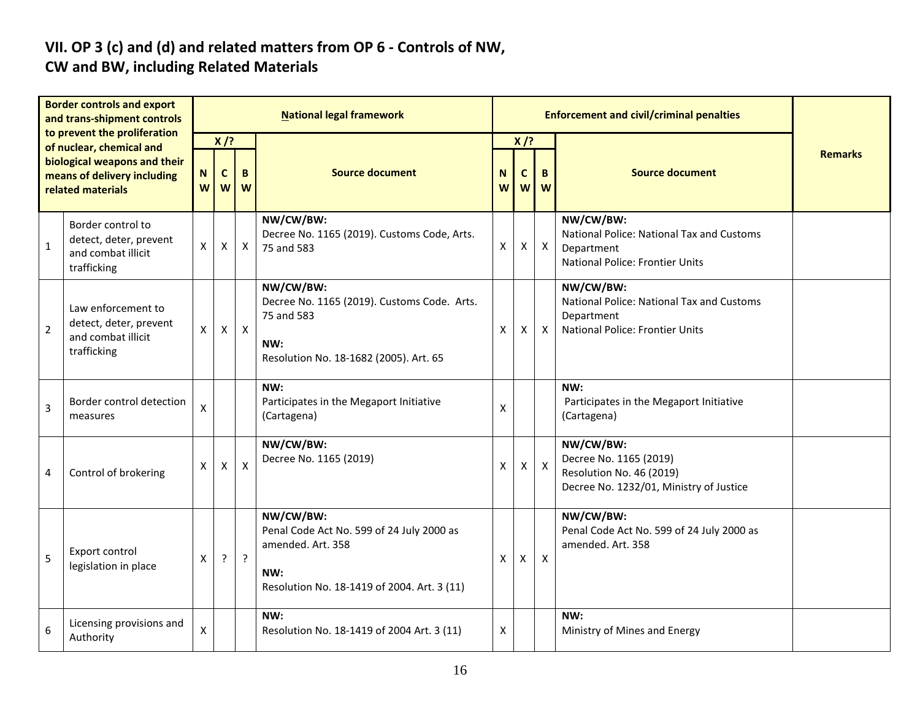# **VII. OP 3 (c) and (d) and related matters from OP 6 - Controls of NW,**

### **CW and BW, including Related Materials**

| <b>Border controls and export</b><br>and trans-shipment controls<br>to prevent the proliferation<br>of nuclear, chemical and<br>biological weapons and their<br>means of delivery including<br>related materials |                                                                                   | <b>National legal framework</b> |                            |              |                                                                                                                                   |        | <b>Enforcement and civil/criminal penalties</b> |                           |                                                                                                                |                |
|------------------------------------------------------------------------------------------------------------------------------------------------------------------------------------------------------------------|-----------------------------------------------------------------------------------|---------------------------------|----------------------------|--------------|-----------------------------------------------------------------------------------------------------------------------------------|--------|-------------------------------------------------|---------------------------|----------------------------------------------------------------------------------------------------------------|----------------|
|                                                                                                                                                                                                                  |                                                                                   | N<br>W                          | $X$ /?<br>$\mathbf c$<br>W | B<br>W       | <b>Source document</b>                                                                                                            | N<br>W | $X$ /?<br>C                                     | B<br>$W$ $W$              | <b>Source document</b>                                                                                         | <b>Remarks</b> |
| $\mathbf 1$                                                                                                                                                                                                      | Border control to<br>detect, deter, prevent<br>and combat illicit<br>trafficking  | X                               | Χ                          | X            | NW/CW/BW:<br>Decree No. 1165 (2019). Customs Code, Arts.<br>75 and 583                                                            | Х      | X                                               | $\boldsymbol{X}$          | NW/CW/BW:<br>National Police: National Tax and Customs<br>Department<br><b>National Police: Frontier Units</b> |                |
| $\overline{2}$                                                                                                                                                                                                   | Law enforcement to<br>detect, deter, prevent<br>and combat illicit<br>trafficking | X                               | $\mathsf{X}$               | $\mathsf{X}$ | NW/CW/BW:<br>Decree No. 1165 (2019). Customs Code. Arts.<br>75 and 583<br>NW:<br>Resolution No. 18-1682 (2005). Art. 65           | X      | X                                               | $\mathsf{X}$              | NW/CW/BW:<br>National Police: National Tax and Customs<br>Department<br><b>National Police: Frontier Units</b> |                |
| 3                                                                                                                                                                                                                | Border control detection<br>measures                                              | X                               |                            |              | NW:<br>Participates in the Megaport Initiative<br>(Cartagena)                                                                     | X      |                                                 |                           | NW:<br>Participates in the Megaport Initiative<br>(Cartagena)                                                  |                |
| 4                                                                                                                                                                                                                | Control of brokering                                                              | X                               | $\boldsymbol{\mathsf{X}}$  | $\mathsf{x}$ | NW/CW/BW:<br>Decree No. 1165 (2019)                                                                                               | X      | X                                               | $\mathsf{X}$              | NW/CW/BW:<br>Decree No. 1165 (2019)<br>Resolution No. 46 (2019)<br>Decree No. 1232/01, Ministry of Justice     |                |
| 5                                                                                                                                                                                                                | Export control<br>legislation in place                                            | X                               | ?                          | $\cdot$      | NW/CW/BW:<br>Penal Code Act No. 599 of 24 July 2000 as<br>amended. Art. 358<br>NW:<br>Resolution No. 18-1419 of 2004. Art. 3 (11) | X      | X                                               | $\boldsymbol{\mathsf{X}}$ | NW/CW/BW:<br>Penal Code Act No. 599 of 24 July 2000 as<br>amended. Art. 358                                    |                |
| 6                                                                                                                                                                                                                | Licensing provisions and<br>Authority                                             | $\pmb{\mathsf{X}}$              |                            |              | NW:<br>Resolution No. 18-1419 of 2004 Art. 3 (11)                                                                                 | X      |                                                 |                           | NW:<br>Ministry of Mines and Energy                                                                            |                |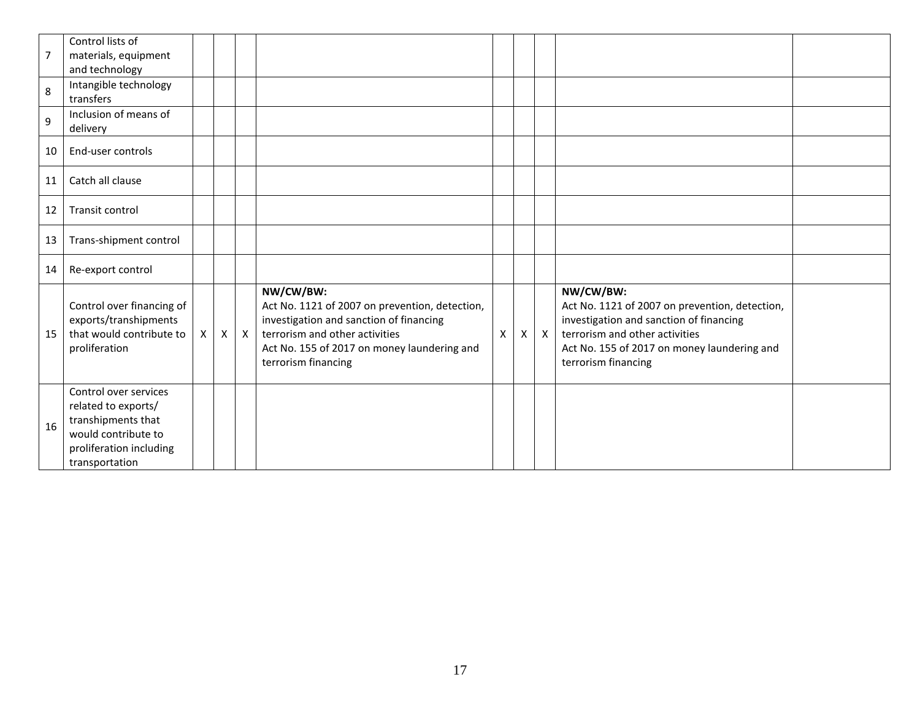| $\overline{7}$   | Control lists of<br>materials, equipment<br>and technology                                                                             |              |                           |              |                                                                                                                                                                                                                |   |   |              |                                                                                                                                                                                                                |  |
|------------------|----------------------------------------------------------------------------------------------------------------------------------------|--------------|---------------------------|--------------|----------------------------------------------------------------------------------------------------------------------------------------------------------------------------------------------------------------|---|---|--------------|----------------------------------------------------------------------------------------------------------------------------------------------------------------------------------------------------------------|--|
| 8                | Intangible technology<br>transfers                                                                                                     |              |                           |              |                                                                                                                                                                                                                |   |   |              |                                                                                                                                                                                                                |  |
| $\boldsymbol{9}$ | Inclusion of means of<br>delivery                                                                                                      |              |                           |              |                                                                                                                                                                                                                |   |   |              |                                                                                                                                                                                                                |  |
| 10               | End-user controls                                                                                                                      |              |                           |              |                                                                                                                                                                                                                |   |   |              |                                                                                                                                                                                                                |  |
| 11               | Catch all clause                                                                                                                       |              |                           |              |                                                                                                                                                                                                                |   |   |              |                                                                                                                                                                                                                |  |
| 12               | Transit control                                                                                                                        |              |                           |              |                                                                                                                                                                                                                |   |   |              |                                                                                                                                                                                                                |  |
| 13               | Trans-shipment control                                                                                                                 |              |                           |              |                                                                                                                                                                                                                |   |   |              |                                                                                                                                                                                                                |  |
| 14               | Re-export control                                                                                                                      |              |                           |              |                                                                                                                                                                                                                |   |   |              |                                                                                                                                                                                                                |  |
| 15               | Control over financing of<br>exports/transhipments<br>that would contribute to<br>proliferation                                        | $\mathsf{X}$ | $\boldsymbol{\mathsf{X}}$ | $\mathsf{X}$ | NW/CW/BW:<br>Act No. 1121 of 2007 on prevention, detection,<br>investigation and sanction of financing<br>terrorism and other activities<br>Act No. 155 of 2017 on money laundering and<br>terrorism financing | X | X | $\mathsf{X}$ | NW/CW/BW:<br>Act No. 1121 of 2007 on prevention, detection,<br>investigation and sanction of financing<br>terrorism and other activities<br>Act No. 155 of 2017 on money laundering and<br>terrorism financing |  |
| 16               | Control over services<br>related to exports/<br>transhipments that<br>would contribute to<br>proliferation including<br>transportation |              |                           |              |                                                                                                                                                                                                                |   |   |              |                                                                                                                                                                                                                |  |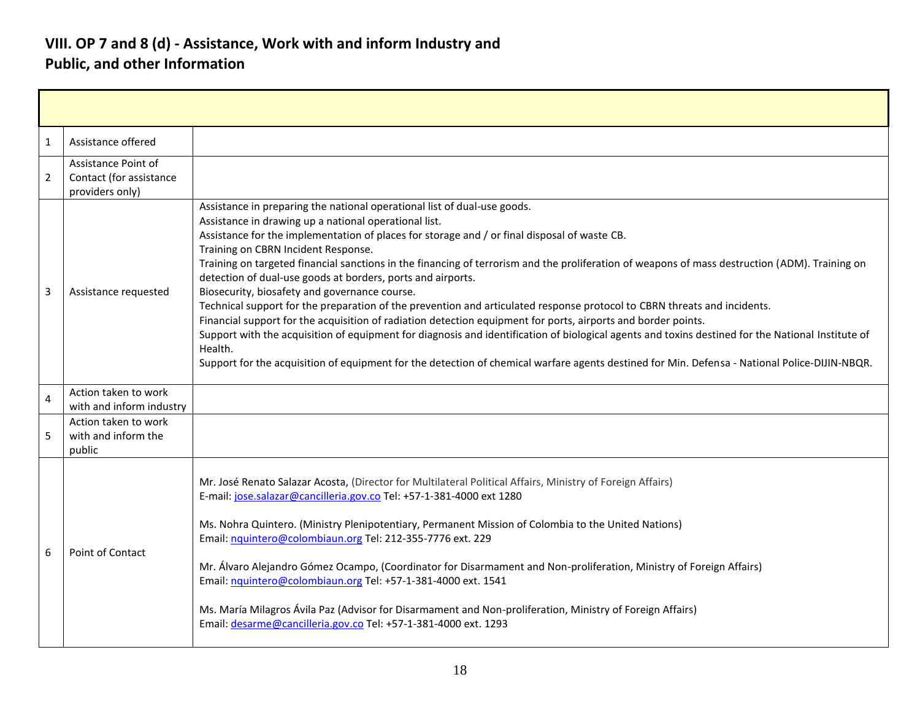#### **VIII. OP 7 and 8 (d) - Assistance, Work with and inform Industry and Public, and other Information**

| 1              | Assistance offered                                                |                                                                                                                                                                                                                                                                                                                                                                                                                                                                                                                                                                                                                                                                                                                                                                                                                                                                                                                                                                                                                                                                                                          |
|----------------|-------------------------------------------------------------------|----------------------------------------------------------------------------------------------------------------------------------------------------------------------------------------------------------------------------------------------------------------------------------------------------------------------------------------------------------------------------------------------------------------------------------------------------------------------------------------------------------------------------------------------------------------------------------------------------------------------------------------------------------------------------------------------------------------------------------------------------------------------------------------------------------------------------------------------------------------------------------------------------------------------------------------------------------------------------------------------------------------------------------------------------------------------------------------------------------|
| $\overline{2}$ | Assistance Point of<br>Contact (for assistance<br>providers only) |                                                                                                                                                                                                                                                                                                                                                                                                                                                                                                                                                                                                                                                                                                                                                                                                                                                                                                                                                                                                                                                                                                          |
| 3              | Assistance requested                                              | Assistance in preparing the national operational list of dual-use goods.<br>Assistance in drawing up a national operational list.<br>Assistance for the implementation of places for storage and / or final disposal of waste CB.<br>Training on CBRN Incident Response.<br>Training on targeted financial sanctions in the financing of terrorism and the proliferation of weapons of mass destruction (ADM). Training on<br>detection of dual-use goods at borders, ports and airports.<br>Biosecurity, biosafety and governance course.<br>Technical support for the preparation of the prevention and articulated response protocol to CBRN threats and incidents.<br>Financial support for the acquisition of radiation detection equipment for ports, airports and border points.<br>Support with the acquisition of equipment for diagnosis and identification of biological agents and toxins destined for the National Institute of<br>Health.<br>Support for the acquisition of equipment for the detection of chemical warfare agents destined for Min. Defensa - National Police-DIJIN-NBQR. |
| 4              | Action taken to work<br>with and inform industry                  |                                                                                                                                                                                                                                                                                                                                                                                                                                                                                                                                                                                                                                                                                                                                                                                                                                                                                                                                                                                                                                                                                                          |
| 5              | Action taken to work<br>with and inform the<br>public             |                                                                                                                                                                                                                                                                                                                                                                                                                                                                                                                                                                                                                                                                                                                                                                                                                                                                                                                                                                                                                                                                                                          |
| 6              | Point of Contact                                                  | Mr. José Renato Salazar Acosta, (Director for Multilateral Political Affairs, Ministry of Foreign Affairs)<br>E-mail: jose.salazar@cancilleria.gov.co Tel: +57-1-381-4000 ext 1280<br>Ms. Nohra Quintero. (Ministry Plenipotentiary, Permanent Mission of Colombia to the United Nations)<br>Email: nquintero@colombiaun.org Tel: 212-355-7776 ext. 229<br>Mr. Álvaro Alejandro Gómez Ocampo, (Coordinator for Disarmament and Non-proliferation, Ministry of Foreign Affairs)<br>Email: nquintero@colombiaun.org Tel: +57-1-381-4000 ext. 1541<br>Ms. María Milagros Ávila Paz (Advisor for Disarmament and Non-proliferation, Ministry of Foreign Affairs)<br>Email: desarme@cancilleria.gov.co Tel: +57-1-381-4000 ext. 1293                                                                                                                                                                                                                                                                                                                                                                          |